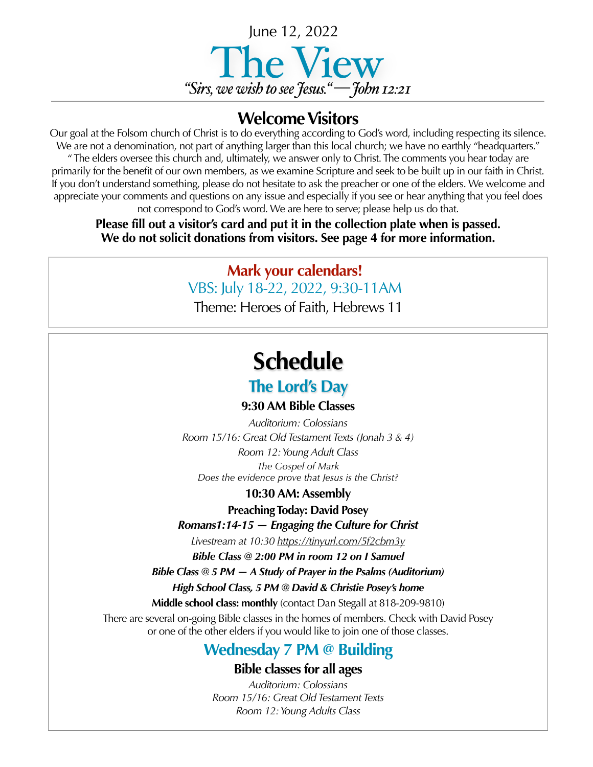

### **Welcome Visitors**

Our goal at the Folsom church of Christ is to do everything according to God's word, including respecting its silence. We are not a denomination, not part of anything larger than this local church; we have no earthly "headquarters." " The elders oversee this church and, ultimately, we answer only to Christ. The comments you hear today are primarily for the benefit of our own members, as we examine Scripture and seek to be built up in our faith in Christ. If you don't understand something, please do not hesitate to ask the preacher or one of the elders. We welcome and appreciate your comments and questions on any issue and especially if you see or hear anything that you feel does not correspond to God's word. We are here to serve; please help us do that.

**Please fill out a visitor's card and put it in the collection plate when is passed. We do not solicit donations from visitors. See page 4 for more information.**

### **Mark your calendars!** VBS: July 18-22, 2022, 9:30-11AM

Theme: Heroes of Faith, Hebrews 11

# **Schedule**

### **The Lord's Day**

### **9:30 AM Bible Classes**

*Auditorium: Colossians Room 15/16: Great Old Testament Texts (Jonah 3 & 4) Room 12: Young Adult Class The Gospel of Mark Does the evidence prove that Jesus is the Christ?*

### **10:30 AM: Assembly**

**Preaching Today: David Posey**

### *Romans1:14-15 — Engaging the Culture for Christ*

*Livestream at 10:30<https://tinyurl.com/5f2cbm3y>*

*Bible Class @ 2:00 PM in room 12 on I Samuel*

*Bible Class @ 5 PM — A Study of Prayer in the Psalms (Auditorium)*

*High School Class, 5 PM @ David & Christie Posey's home* 

**Middle school class: monthly** (contact Dan Stegall at 818-209-9810)

There are several on-going Bible classes in the homes of members. Check with David Posey or one of the other elders if you would like to join one of those classes.

### **Wednesday 7 PM @ Building**

**Bible classes for all ages**

*Auditorium: Colossians Room 15/16: Great Old Testament Texts Room 12: Young Adults Class*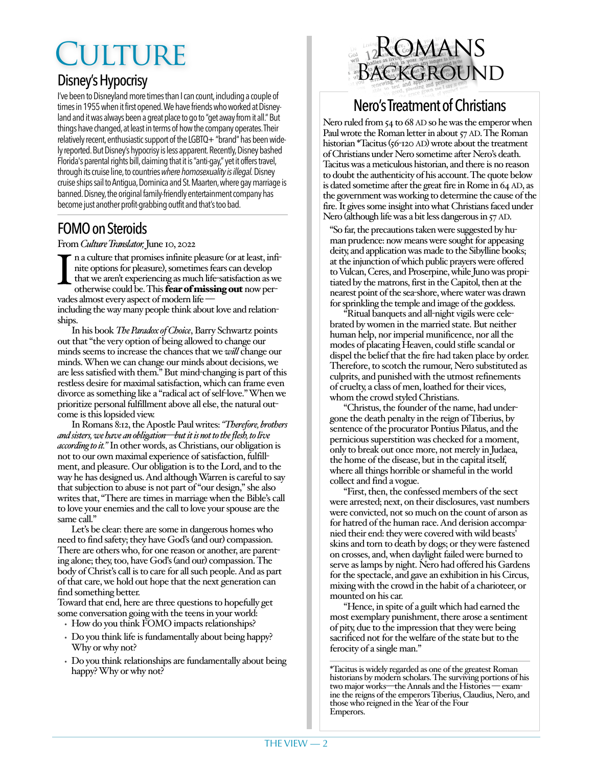# **CULTURE**<br>Disney's Hypocrisy

I've been to Disneyland more times than I can count, including a couple of times in 1955 when it first opened. We have friends who worked at Disneyland and it was always been a great place to go to "get away from it all." But things have changed, at least in terms of how the company operates. Their relatively recent, enthusiastic support of the LGBTQ+ "brand" has been widely reported. But Disney's hypocrisy is less apparent. Recently, Disney bashed Florida's parental rights bill, claiming that it is "anti-gay," yet it offers travel, through its cruise line, to countries *where homosexuality is illegal.* Disney cruise ships sail to Antigua, Dominica and St. Maarten, where gay marriage is banned. Disney, the original family-friendly entertainment company has become just another profit-grabbing outfit and that's too bad.

### FOMO on Steroids

From *Culture Translator,* June 10, 2022

I n a culture that promises infinite pleasure (or at least, infinite options for pleasure), sometimes fears can develop that we aren't experiencing as much life-satisfaction as we otherwise could be. This **fear of missing out** now pervades almost every aspect of modern life including the way many people think about love and relationships.

In his book *The Paradox of Choice*, Barry Schwartz points out that "the very option of being allowed to change our minds seems to increase the chances that we *will* change our minds. When we can change our minds about decisions, we are less satisfied with them." But mind-changing is part of this restless desire for maximal satisfaction, which can frame even divorce as something like a "radical act of self-love." When we prioritize personal fulfillment above all else, the natural outcome is this lopsided view.

In Romans 8:12, the Apostle Paul writes: *"Therefore, brothers and sisters, we have an obligation—but it is not to the flesh, to live according to it."* In other words, as Christians, our obligation is not to our own maximal experience of satisfaction, fulfillment, and pleasure. Our obligation is to the Lord, and to the way he has designed us. And although Warren is careful to say that subjection to abuse is not part of "our design," she also writes that, "There are times in marriage when the Bible's call to love your enemies and the call to love your spouse are the same call."

Let's be clear: there are some in dangerous homes who need to find safety; they have God's (and our) compassion. There are others who, for one reason or another, are parenting alone; they, too, have God's (and our) compassion. The body of Christ's call is to care for all such people. And as part of that care, we hold out hope that the next generation can find something better.

Toward that end, here are three questions to hopefully get some conversation going with the teens in your world:

- How do you think FOMO impacts relationships?
- Do you think life is fundamentally about being happy? Why or why not?
- Do you think relationships are fundamentally about being happy? Why or why not?



### Nero's Treatment of Christians

Nero ruled from 54 to 68 AD so he was the emperor when Paul wrote the Roman letter in about 57 AD. The Roman historian \*Tacitus (56-120 AD) wrote about the treatment of Christians under Nero sometime after Nero's death. Tacitus was a meticulous historian, and there is no reason to doubt the authenticity of his account. The quote below is dated sometime after the great fire in Rome in 64 AD, as the government was working to determine the cause of the fire. It gives some insight into what Christians faced under Nero (although life was a bit less dangerous in 57 AD.

"So far, the precautions taken were suggested by human prudence: now means were sought for appeasing deity, and application was made to the Sibylline books; at the injunction of which public prayers were offered to Vulcan, Ceres, and Proserpine, while Juno was propitiated by the matrons, first in the Capitol, then at the nearest point of the sea-shore, where water was drawn for sprinkling the temple and image of the goddess.

"Ritual banquets and all-night vigils were celebrated by women in the married state. But neither human help, nor imperial munificence, nor all the modes of placating Heaven, could stifle scandal or dispel the belief that the fire had taken place by order. Therefore, to scotch the rumour, Nero substituted as culprits, and punished with the utmost refinements of cruelty, a class of men, loathed for their vices, whom the crowd styled Christians.

"Christus, the founder of the name, had undergone the death penalty in the reign of Tiberius, by sentence of the procurator Pontius Pilatus, and the pernicious superstition was checked for a moment, only to break out once more, not merely in Judaea, the home of the disease, but in the capital itself, where all things horrible or shameful in the world collect and find a vogue.

"First, then, the confessed members of the sect were arrested; next, on their disclosures, vast numbers were convicted, not so much on the count of arson as for hatred of the human race. And derision accompanied their end: they were covered with wild beasts' skins and torn to death by dogs; or they were fastened on crosses, and, when daylight failed were burned to serve as lamps by night. Nero had offered his Gardens for the spectacle, and gave an exhibition in his Circus, mixing with the crowd in the habit of a charioteer, or mounted on his car.

"Hence, in spite of a guilt which had earned the most exemplary punishment, there arose a sentiment of pity, due to the impression that they were being sacrificed not for the welfare of the state but to the ferocity of a single man."

\*Tacitus is widely regarded as one of the greatest Roman historians by modern scholars. The surviving portions of his two major works—the Annals and the Histories — exam- ine the reigns of the emperors Tiberius, Claudius, Nero, and those who reigned in the Year of the Four Emperors.